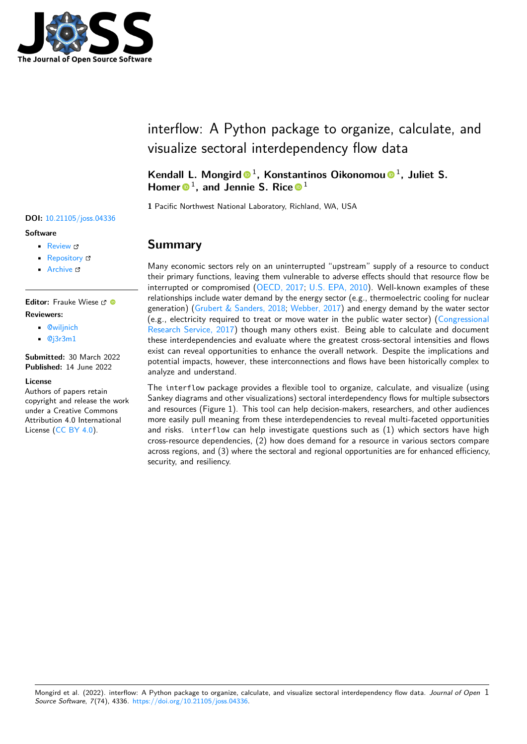

# interflow: A Python package to organize, calculate, and visualize sectoral interdependency flow data

Kendall L. Mongird <sup>1</sup>, Konstantinos Oikonomou <sup>1</sup>, Juliet S. Homer  $\bullet$ <sup>1</sup>, and Jennie S. Rice  $\bullet$ <sup>1</sup>

**1** Pacific Northwest National Laboratory, Richland, WA, USA

### **Summary**

Many economic sectors rely on an uninterrupted "upstream" supply of a resource to conduct their primary functions, leaving them vulnerable to adverse effects should that resource flow be interrupted or compromised [\(OECD, 2017;](#page-3-0) [U.S. EPA, 2010\)](#page-4-0). Well-known examples of these relationships include water demand by the energy sector (e.g., thermoelectric cooling for nuclear generation) [\(Grubert & Sanders, 2018;](#page-3-1) [Webber, 2017\)](#page-4-1) and energy demand by the water sector (e.g., electricity required to treat or move water in the public water sector) [\(Congressional](#page-3-2) [Research Service, 2017\)](#page-3-2) though many others exist. Being able to calculate and document these interdependencies and evaluate where the greatest cross-sectoral intensities and flows exist can reveal opportunities to enhance the overall network. Despite the implications and potential impacts, however, these interconnections and flows have been historically complex to analyze and understand.

The interflow package provides a flexible tool to organize, calculate, and visualize (using Sankey diagrams and other visualizations) sectoral interdependency flows for multiple subsectors and resources (Figure 1). This tool can help decision-makers, researchers, and other audiences more easily pull meaning from these interdependencies to reveal multi-faceted opportunities and risks. interflow can help investigate questions such as (1) which sectors have high cross-resource dependencies, (2) how does demand for a resource in various sectors compare across regions, and (3) where the sectoral and regional opportunities are for enhanced efficiency, security, and resiliency.

**DOI:** [10.21105/joss.04336](https://doi.org/10.21105/joss.04336)

#### **Software**

- [Review](https://github.com/openjournals/joss-reviews/issues/4336) L'
- [Repository](https://github.com/pnnl/interflow) &
- [Archive](https://doi.org/10.5281/zenodo.6620928) r<sup>2</sup>

**Editor:** Frauke Wiese **Reviewers:**

- [@wiljnich](https://github.com/wiljnich)
- [@j3r3m1](https://github.com/j3r3m1)

**Submitted:** 30 March 2022 **Published:** 14 June 2022

#### **License**

Authors of papers retain copyright and release the work under a Creative Commons Attribution 4.0 International License [\(CC BY 4.0\)](https://creativecommons.org/licenses/by/4.0/).

Mongird et al. (2022). interflow: A Python package to organize, calculate, and visualize sectoral interdependency flow data. Journal of Open 1 Source Software, 7(74), 4336. [https://doi.org/10.21105/joss.04336.](https://doi.org/10.21105/joss.04336)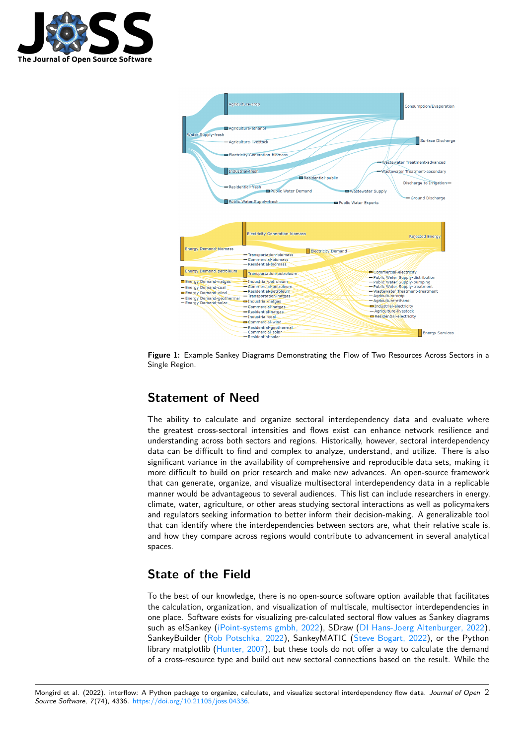



**Figure 1:** Example Sankey Diagrams Demonstrating the Flow of Two Resources Across Sectors in a Single Region.

# **Statement of Need**

The ability to calculate and organize sectoral interdependency data and evaluate where the greatest cross-sectoral intensities and flows exist can enhance network resilience and understanding across both sectors and regions. Historically, however, sectoral interdependency data can be difficult to find and complex to analyze, understand, and utilize. There is also significant variance in the availability of comprehensive and reproducible data sets, making it more difficult to build on prior research and make new advances. An open-source framework that can generate, organize, and visualize multisectoral interdependency data in a replicable manner would be advantageous to several audiences. This list can include researchers in energy, climate, water, agriculture, or other areas studying sectoral interactions as well as policymakers and regulators seeking information to better inform their decision-making. A generalizable tool that can identify where the interdependencies between sectors are, what their relative scale is, and how they compare across regions would contribute to advancement in several analytical spaces.

### **State of the Field**

To the best of our knowledge, there is no open-source software option available that facilitates the calculation, organization, and visualization of multiscale, multisector interdependencies in one place. Software exists for visualizing pre-calculated sectoral flow values as Sankey diagrams such as e!Sankey [\(iPoint-systems gmbh, 2022\)](#page-3-3), SDraw [\(DI Hans-Joerg Altenburger, 2022\)](#page-3-4), SankeyBuilder [\(Rob Potschka, 2022\)](#page-3-5), SankeyMATIC [\(Steve Bogart, 2022\)](#page-4-2), or the Python library matplotlib [\(Hunter, 2007\)](#page-3-6), but these tools do not offer a way to calculate the demand of a cross-resource type and build out new sectoral connections based on the result. While the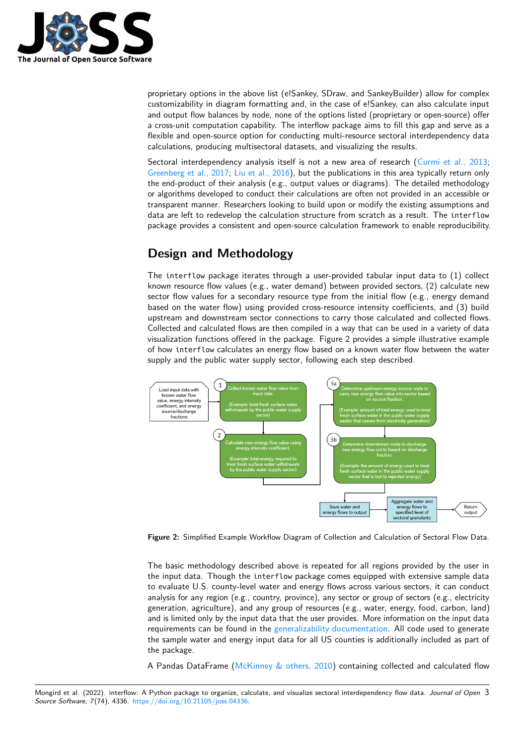

proprietary options in the above list (e!Sankey, SDraw, and SankeyBuilder) allow for complex customizability in diagram formatting and, in the case of e!Sankey, can also calculate input and output flow balances by node, none of the options listed (proprietary or open-source) offer a cross-unit computation capability. The interflow package aims to fill this gap and serve as a flexible and open-source option for conducting multi-resource sectoral interdependency data calculations, producing multisectoral datasets, and visualizing the results.

Sectoral interdependency analysis itself is not a new area of research [\(Curmi et al., 2013;](#page-3-7) [Greenberg et al., 2017;](#page-3-8) [Liu et al., 2016\)](#page-3-9), but the publications in this area typically return only the end-product of their analysis (e.g., output values or diagrams). The detailed methodology or algorithms developed to conduct their calculations are often not provided in an accessible or transparent manner. Researchers looking to build upon or modify the existing assumptions and data are left to redevelop the calculation structure from scratch as a result. The interflow package provides a consistent and open-source calculation framework to enable reproducibility.

## **Design and Methodology**

The interflow package iterates through a user-provided tabular input data to (1) collect known resource flow values (e.g., water demand) between provided sectors, (2) calculate new sector flow values for a secondary resource type from the initial flow (e.g., energy demand based on the water flow) using provided cross-resource intensity coefficients, and (3) build upstream and downstream sector connections to carry those calculated and collected flows. Collected and calculated flows are then compiled in a way that can be used in a variety of data visualization functions offered in the package. Figure 2 provides a simple illustrative example of how interflow calculates an energy flow based on a known water flow between the water supply and the public water supply sector, following each step described.



**Figure 2:** Simplified Example Workflow Diagram of Collection and Calculation of Sectoral Flow Data.

The basic methodology described above is repeated for all regions provided by the user in the input data. Though the interflow package comes equipped with extensive sample data to evaluate U.S. county-level water and energy flows across various sectors, it can conduct analysis for any region (e.g., country, province), any sector or group of sectors (e.g., electricity generation, agriculture), and any group of resources (e.g., water, energy, food, carbon, land) and is limited only by the input data that the user provides. More information on the input data requirements can be found in the [generalizability documentation.](https://pnnl.github.io/interflow/user_guide.html#generalizability) All code used to generate the sample water and energy input data for all US counties is additionally included as part of the package.

A Pandas DataFrame [\(McKinney & others, 2010\)](#page-3-10) containing collected and calculated flow

Mongird et al. (2022). interflow: A Python package to organize, calculate, and visualize sectoral interdependency flow data. Journal of Open 3 Source Software, 7(74), 4336. [https://doi.org/10.21105/joss.04336.](https://doi.org/10.21105/joss.04336)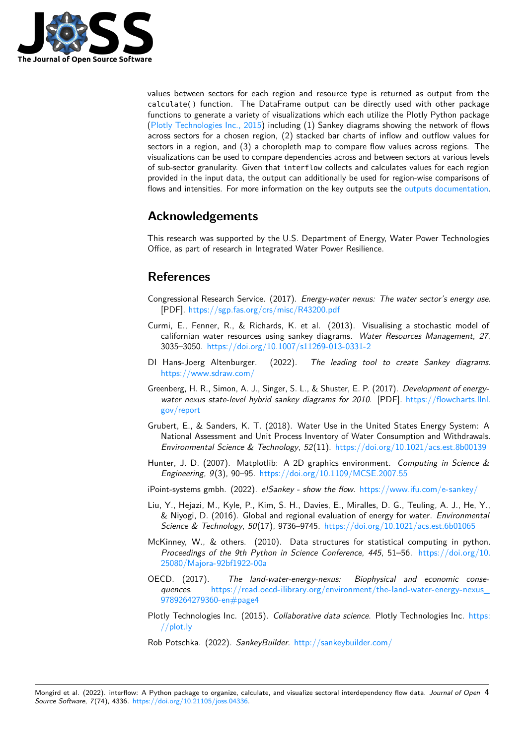

values between sectors for each region and resource type is returned as output from the calculate() function. The DataFrame output can be directly used with other package functions to generate a variety of visualizations which each utilize the Plotly Python package [\(Plotly Technologies Inc., 2015\)](#page-3-11) including (1) Sankey diagrams showing the network of flows across sectors for a chosen region, (2) stacked bar charts of inflow and outflow values for sectors in a region, and (3) a choropleth map to compare flow values across regions. The visualizations can be used to compare dependencies across and between sectors at various levels of sub-sector granularity. Given that interflow collects and calculates values for each region provided in the input data, the output can additionally be used for region-wise comparisons of flows and intensities. For more information on the key outputs see the [outputs documentation.](https://pnnl.github.io/interflow/user_guide.html#key-outputs)

### **Acknowledgements**

This research was supported by the U.S. Department of Energy, Water Power Technologies Office, as part of research in Integrated Water Power Resilience.

# **References**

- <span id="page-3-2"></span>Congressional Research Service. (2017). Energy-water nexus: The water sector's energy use. [PDF]. <https://sgp.fas.org/crs/misc/R43200.pdf>
- <span id="page-3-7"></span>Curmi, E., Fenner, R., & Richards, K. et al. (2013). Visualising a stochastic model of californian water resources using sankey diagrams. Water Resources Management, 27, 3035–3050. <https://doi.org/10.1007/s11269-013-0331-2>
- <span id="page-3-4"></span>DI Hans-Joerg Altenburger. (2022). The leading tool to create Sankey diagrams. [https://www.sdraw.com/](https://www.sdraw.com/%20)
- <span id="page-3-8"></span>Greenberg, H. R., Simon, A. J., Singer, S. L., & Shuster, E. P. (2017). Development of energywater nexus state-level hybrid sankey diagrams for 2010. [PDF]. [https://flowcharts.llnl.](https://flowcharts.llnl.gov/report) [gov/report](https://flowcharts.llnl.gov/report)
- <span id="page-3-1"></span>Grubert, E., & Sanders, K. T. (2018). Water Use in the United States Energy System: A National Assessment and Unit Process Inventory of Water Consumption and Withdrawals. Environmental Science & Technology, 52(11). <https://doi.org/10.1021/acs.est.8b00139>
- <span id="page-3-6"></span>Hunter, J. D. (2007). Matplotlib: A 2D graphics environment. Computing in Science & Engineering, 9(3), 90–95. <https://doi.org/10.1109/MCSE.2007.55>
- <span id="page-3-3"></span>iPoint-systems gmbh. (2022). e!Sankey - show the flow. <https://www.ifu.com/e-sankey/>
- <span id="page-3-9"></span>Liu, Y., Hejazi, M., Kyle, P., Kim, S. H., Davies, E., Miralles, D. G., Teuling, A. J., He, Y., & Niyogi, D. (2016). Global and regional evaluation of energy for water. Environmental Science & Technology, 50(17), 9736-9745. <https://doi.org/10.1021/acs.est.6b01065>
- <span id="page-3-10"></span>McKinney, W., & others. (2010). Data structures for statistical computing in python. Proceedings of the 9th Python in Science Conference, 445, 51–56. [https://doi.org/10.](https://doi.org/10.25080/Majora-92bf1922-00a) [25080/Majora-92bf1922-00a](https://doi.org/10.25080/Majora-92bf1922-00a)
- <span id="page-3-0"></span>OECD. (2017). The land-water-energy-nexus: Biophysical and economic consequences. https://read.oecd-ilibrary.org/environment/the-land-water-energy-nexus [9789264279360-en#page4](https://read.oecd-ilibrary.org/environment/the-land-water-energy-nexus_9789264279360-en#page4)
- <span id="page-3-11"></span>Plotly Technologies Inc. (2015). Collaborative data science. Plotly Technologies Inc. [https:](https://plot.ly) [//plot.ly](https://plot.ly)
- <span id="page-3-5"></span>Rob Potschka. (2022). SankeyBuilder. <http://sankeybuilder.com/>